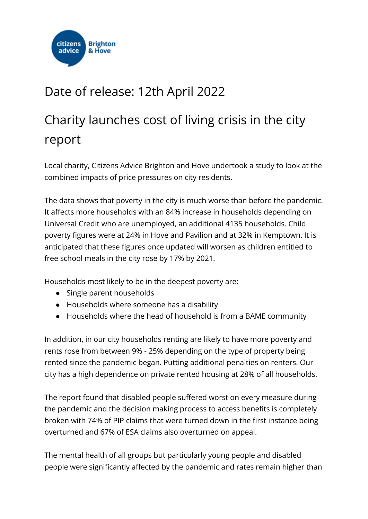

## Date of release: 12th April 2022

## Charity launches cost of living crisis in the city report

Local charity, Citizens Advice Brighton and Hove undertook a study to look at the combined impacts of price pressures on city residents.

The data shows that poverty in the city is much worse than before the pandemic. It affects more households with an 84% increase in households depending on Universal Credit who are unemployed, an additional 4135 households. Child poverty figures were at 24% in Hove and Pavilion and at 32% in Kemptown. It is anticipated that these figures once updated will worsen as children entitled to free school meals in the city rose by 17% by 2021.

Households most likely to be in the deepest poverty are:

- Single parent households
- Households where someone has a disability
- Households where the head of household is from a BAME community

In addition, in our city households renting are likely to have more poverty and rents rose from between 9% - 25% depending on the type of property being rented since the pandemic began. Putting additional penalties on renters. Our city has a high dependence on private rented housing at 28% of all households.

The report found that disabled people suffered worst on every measure during the pandemic and the decision making process to access benefits is completely broken with 74% of PIP claims that were turned down in the first instance being overturned and 67% of ESA claims also overturned on appeal.

The mental health of all groups but particularly young people and disabled people were significantly affected by the pandemic and rates remain higher than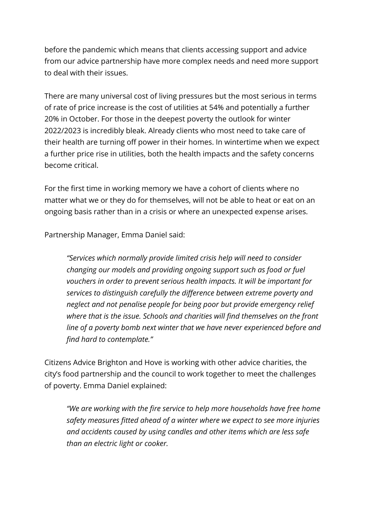before the pandemic which means that clients accessing support and advice from our advice partnership have more complex needs and need more support to deal with their issues.

There are many universal cost of living pressures but the most serious in terms of rate of price increase is the cost of utilities at 54% and potentially a further 20% in October. For those in the deepest poverty the outlook for winter 2022/2023 is incredibly bleak. Already clients who most need to take care of their health are turning off power in their homes. In wintertime when we expect a further price rise in utilities, both the health impacts and the safety concerns become critical.

For the first time in working memory we have a cohort of clients where no matter what we or they do for themselves, will not be able to heat or eat on an ongoing basis rather than in a crisis or where an unexpected expense arises.

Partnership Manager, Emma Daniel said:

*"Services which normally provide limited crisis help will need to consider changing our models and providing ongoing support such as food or fuel vouchers in order to prevent serious health impacts. It will be important for services to distinguish carefully the difference between extreme poverty and neglect and not penalise people for being poor but provide emergency relief where that is the issue. Schools and charities will find themselves on the front line of a poverty bomb next winter that we have never experienced before and find hard to contemplate."*

Citizens Advice Brighton and Hove is working with other advice charities, the city's food partnership and the council to work together to meet the challenges of poverty. Emma Daniel explained:

*"We are working with the fire service to help more households have free home safety measures fitted ahead of a winter where we expect to see more injuries and accidents caused by using candles and other items which are less safe than an electric light or cooker.*